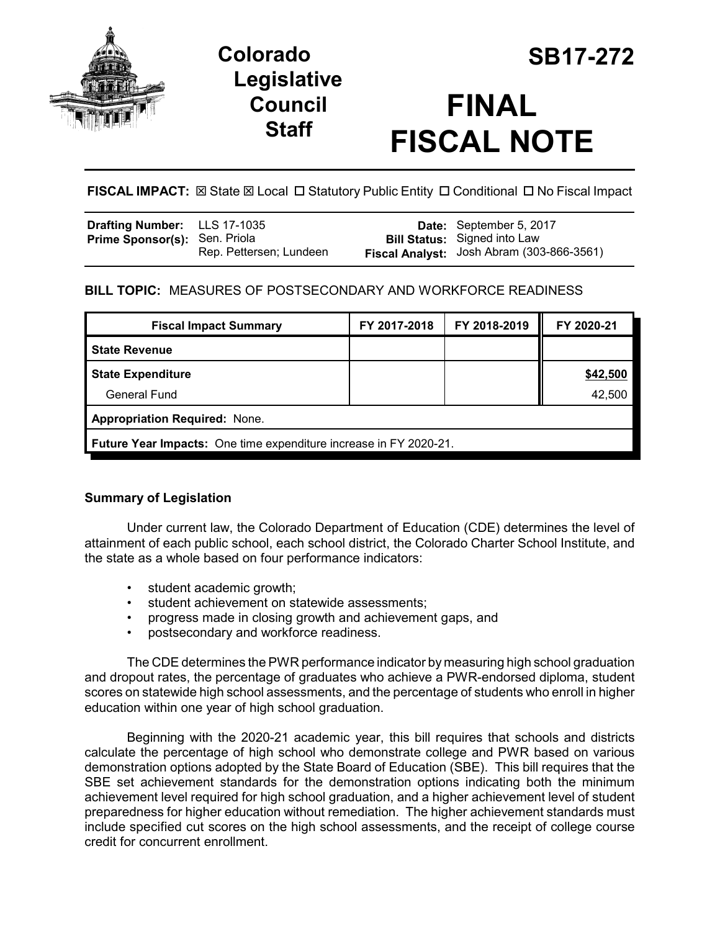

# **Colorado SB17-272 Legislative Council Staff**

# **FINAL FISCAL NOTE**

**FISCAL IMPACT:** ⊠ State ⊠ Local □ Statutory Public Entity □ Conditional □ No Fiscal Impact

| Drafting Number: LLS 17-1035         |                         | Date: September 5, 2017                                                          |
|--------------------------------------|-------------------------|----------------------------------------------------------------------------------|
| <b>Prime Sponsor(s): Sen. Priola</b> | Rep. Pettersen; Lundeen | <b>Bill Status:</b> Signed into Law<br>Fiscal Analyst: Josh Abram (303-866-3561) |

## **BILL TOPIC:** MEASURES OF POSTSECONDARY AND WORKFORCE READINESS

| <b>Fiscal Impact Summary</b>                                      | FY 2017-2018 | FY 2018-2019 | FY 2020-21 |  |  |  |
|-------------------------------------------------------------------|--------------|--------------|------------|--|--|--|
| <b>State Revenue</b>                                              |              |              |            |  |  |  |
| <b>State Expenditure</b>                                          |              |              | \$42,500   |  |  |  |
| General Fund                                                      |              |              | 42,500     |  |  |  |
| <b>Appropriation Required: None.</b>                              |              |              |            |  |  |  |
| Future Year Impacts: One time expenditure increase in FY 2020-21. |              |              |            |  |  |  |

### **Summary of Legislation**

Under current law, the Colorado Department of Education (CDE) determines the level of attainment of each public school, each school district, the Colorado Charter School Institute, and the state as a whole based on four performance indicators:

- student academic growth;
- student achievement on statewide assessments;
- progress made in closing growth and achievement gaps, and
- postsecondary and workforce readiness.

The CDE determines the PWR performance indicator by measuring high school graduation and dropout rates, the percentage of graduates who achieve a PWR-endorsed diploma, student scores on statewide high school assessments, and the percentage of students who enroll in higher education within one year of high school graduation.

Beginning with the 2020-21 academic year, this bill requires that schools and districts calculate the percentage of high school who demonstrate college and PWR based on various demonstration options adopted by the State Board of Education (SBE). This bill requires that the SBE set achievement standards for the demonstration options indicating both the minimum achievement level required for high school graduation, and a higher achievement level of student preparedness for higher education without remediation. The higher achievement standards must include specified cut scores on the high school assessments, and the receipt of college course credit for concurrent enrollment.